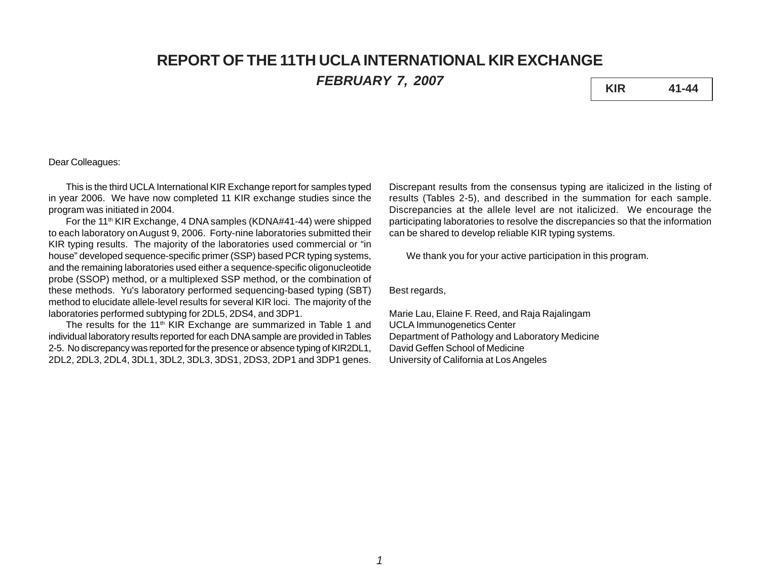# **REPORT OF THE 11TH UCLA INTERNATIONAL KIR EXCHANGE**

*FEBRUARY 7, 2007* **KIR 41-44**

## Dear Colleagues:

This is the third UCLA International KIR Exchange report for samples typed in year 2006. We have now completed 11 KIR exchange studies since the program was initiated in 2004.

For the 11<sup>th</sup> KIR Exchange, 4 DNA samples (KDNA#41-44) were shipped to each laboratory on August 9, 2006. Forty-nine laboratories submitted their KIR typing results. The majority of the laboratories used commercial or "in house" developed sequence-specific primer (SSP) based PCR typing systems, and the remaining laboratories used either a sequence-specific oligonucleotide probe (SSOP) method, or a multiplexed SSP method, or the combination of these methods. Yu's laboratory performed sequencing-based typing (SBT) method to elucidate allele-level results for several KIR loci. The majority of the laboratories performed subtyping for 2DL5, 2DS4, and 3DP1.

The results for the 11<sup>th</sup> KIR Exchange are summarized in Table 1 and individual laboratory results reported for each DNA sample are provided in Tables 2-5. No discrepancy was reported for the presence or absence typing of KIR2DL1, 2DL2, 2DL3, 2DL4, 3DL1, 3DL2, 3DL3, 3DS1, 2DS3, 2DP1 and 3DP1 genes.

Discrepant results from the consensus typing are italicized in the listing of results (Tables 2-5), and described in the summation for each sample. Discrepancies at the allele level are not italicized. We encourage the participating laboratories to resolve the discrepancies so that the information can be shared to develop reliable KIR typing systems.

We thank you for your active participation in this program.

Best regards,

Marie Lau, Elaine F. Reed, and Raja Rajalingam UCLA Immunogenetics Center Department of Pathology and Laboratory Medicine David Geffen School of Medicine University of California at Los Angeles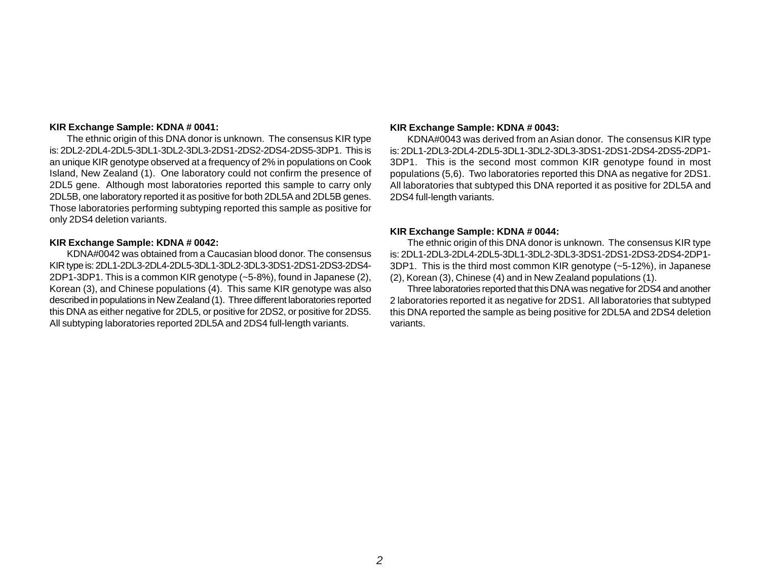#### **KIR Exchange Sample: KDNA # 0041:**

The ethnic origin of this DNA donor is unknown. The consensus KIR type is: 2DL2-2DL4-2DL5-3DL1-3DL2-3DL3-2DS1-2DS2-2DS4-2DS5-3DP1. This is an unique KIR genotype observed at a frequency of 2% in populations on Cook Island, New Zealand (1). One laboratory could not confirm the presence of 2DL5 gene. Although most laboratories reported this sample to carry only 2DL5B, one laboratory reported it as positive for both 2DL5A and 2DL5B genes. Those laboratories performing subtyping reported this sample as positive for only 2DS4 deletion variants.

#### **KIR Exchange Sample: KDNA # 0042:**

KDNA#0042 was obtained from a Caucasian blood donor. The consensus KIR type is: 2DL1-2DL3-2DL4-2DL5-3DL1-3DL2-3DL3-3DS1-2DS1-2DS3-2DS4- 2DP1-3DP1. This is a common KIR genotype (~5-8%), found in Japanese (2), Korean (3), and Chinese populations (4). This same KIR genotype was also described in populations in New Zealand (1). Three different laboratories reported this DNA as either negative for 2DL5, or positive for 2DS2, or positive for 2DS5. All subtyping laboratories reported 2DL5A and 2DS4 full-length variants.

#### **KIR Exchange Sample: KDNA # 0043:**

KDNA#0043 was derived from an Asian donor. The consensus KIR type is: 2DL1-2DL3-2DL4-2DL5-3DL1-3DL2-3DL3-3DS1-2DS1-2DS4-2DS5-2DP1- 3DP1. This is the second most common KIR genotype found in most populations (5,6). Two laboratories reported this DNA as negative for 2DS1. All laboratories that subtyped this DNA reported it as positive for 2DL5A and 2DS4 full-length variants.

#### **KIR Exchange Sample: KDNA # 0044:**

The ethnic origin of this DNA donor is unknown. The consensus KIR type is: 2DL1-2DL3-2DL4-2DL5-3DL1-3DL2-3DL3-3DS1-2DS1-2DS3-2DS4-2DP1- 3DP1. This is the third most common KIR genotype (~5-12%), in Japanese (2), Korean (3), Chinese (4) and in New Zealand populations (1).

Three laboratories reported that this DNA was negative for 2DS4 and another 2 laboratories reported it as negative for 2DS1. All laboratories that subtyped this DNA reported the sample as being positive for 2DL5A and 2DS4 deletion variants.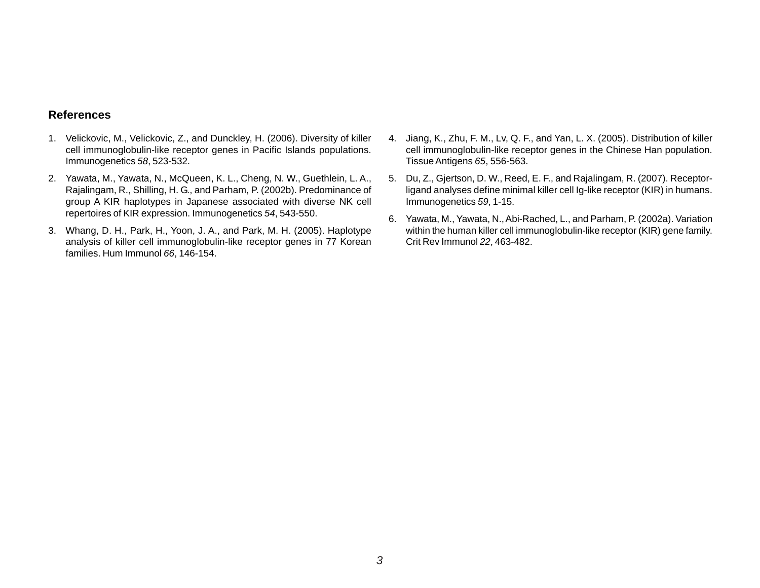### **References**

- 1. Velickovic, M., Velickovic, Z., and Dunckley, H. (2006). Diversity of killer cell immunoglobulin-like receptor genes in Pacific Islands populations. Immunogenetics *58*, 523-532.
- 2. Yawata, M., Yawata, N., McQueen, K. L., Cheng, N. W., Guethlein, L. A., Rajalingam, R., Shilling, H. G., and Parham, P. (2002b). Predominance of group A KIR haplotypes in Japanese associated with diverse NK cell repertoires of KIR expression. Immunogenetics *54*, 543-550.
- 3. Whang, D. H., Park, H., Yoon, J. A., and Park, M. H. (2005). Haplotype analysis of killer cell immunoglobulin-like receptor genes in 77 Korean families. Hum Immunol *66*, 146-154.
- 4. Jiang, K., Zhu, F. M., Lv, Q. F., and Yan, L. X. (2005). Distribution of killer cell immunoglobulin-like receptor genes in the Chinese Han population. Tissue Antigens *65*, 556-563.
- 5. Du, Z., Gjertson, D. W., Reed, E. F., and Rajalingam, R. (2007). Receptorligand analyses define minimal killer cell Ig-like receptor (KIR) in humans. Immunogenetics *59*, 1-15.
- 6. Yawata, M., Yawata, N., Abi-Rached, L., and Parham, P. (2002a). Variation within the human killer cell immunoglobulin-like receptor (KIR) gene family. Crit Rev Immunol *22*, 463-482.